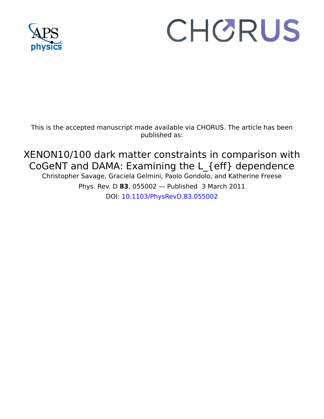

# CHORUS

This is the accepted manuscript made available via CHORUS. The article has been published as:

XENON10/100 dark matter constraints in comparison with CoGeNT and DAMA: Examining the L\_{eff} dependence Christopher Savage, Graciela Gelmini, Paolo Gondolo, and Katherine Freese Phys. Rev. D **83**, 055002 — Published 3 March 2011

DOI: [10.1103/PhysRevD.83.055002](http://dx.doi.org/10.1103/PhysRevD.83.055002)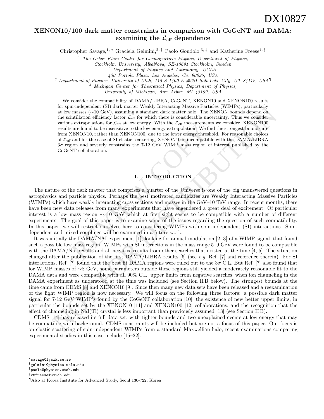# XENON10/100 dark matter constraints in comparison with CoGeNT and DAMA: examining the  $\mathcal{L}_{\text{eff}}$  dependence

Christopher Savage,<sup>1,\*</sup> Graciela Gelmini,<sup>2,†</sup> Paolo Gondolo,<sup>3,‡</sup> and Katherine Freese<sup>4, §</sup>

<sup>1</sup> The Oskar Klein Centre for Cosmoparticle Physics, Department of Physics,

Stockholm University, AlbaNova, SE-10691 Stockholm, Sweden

 $2$  Department of Physics and Astronomy, UCLA,

<sup>3</sup> Department of Physics, University of Utah, 115 S 1400 E  $\#201$  Salt Lake City, UT 84112, USA

<sup>4</sup> Michigan Center for Theoretical Physics, Department of Physics,

University of Michigan, Ann Arbor, MI 48109, USA

We consider the compatibility of DAMA/LIBRA, CoGeNT, XENON10 and XENON100 results for spin-independent (SI) dark matter Weakly Interacting Massive Particles (WIMPs), particularly at low masses (∼10 GeV), assuming a standard dark matter halo. The XENON bounds depend on the scintillation efficiency factor  $\mathcal{L}_{\text{eff}}$  for which there is considerable uncertainty. Thus we consider various extrapolations for  $\mathcal{L}_{\text{eff}}$  at low energy. With the  $\mathcal{L}_{\text{eff}}$  measurements we consider, XENON100 results are found to be insensitive to the low energy extrapolation. We find the strongest bounds are from XENON10, rather than XENON100, due to the lower energy threshold. For reasonable choices of  $\mathcal{L}_{\text{eff}}$  and for the case of SI elastic scattering, XENON10 is incompatible with the DAMA/LIBRA 3σ region and severely constrains the 7-12 GeV WIMP mass region of interest published by the CoGeNT collaboration.

## I. INTRODUCTION

s extrapolations for *L*<sub>ceff</sub> at low energy. With the *L*<sub>ceff</sub> measurements are found to be insensitive to the low energy extrapolation. We find KENON10, rather than XENON100, due to the lower energy threshol and for the The nature of the dark matter that comprises a quarter of the Universe is one of the big unanswered questions in astrophysics and particle physics. Perhaps the best motivated candidates are Weakly Interacting Massive Particles (WIMPs) which have weakly interacting cross sections and masses in the GeV–10 TeV range. In recent months, there have been new data releases from many experiments that have engendered a great deal of excitement. Of particular interest is a low mass region ∼ 10 GeV which at first sight seems to be compatible with a number of different experiments. The goal of this paper is to examine some of the issues regarding the question of such compatibility. In this paper, we will restrict ourselves here to considering WIMPs with spin-independent (SI) interactions. Spindependent and mixed couplings will be examined in a future work.

for spin-unapstance band matter (with the best with the results of the matter of the symmological control of the symmological control in the control of the control with the control with the control with the control with t It was initially the DAMA/NAI experiment [1], looking for annual modulation [2, 3] of a WIMP signal, that found such a possible low mass region. WIMPs with SI interactions in the mass range 5–9 GeV were found to be compatible with the DAMA/NaI results and all negative results from other searches that existed at the time [4, 5]. The situation changed after the publication of the first  $DAMA/LIBRA$  results [6] (see *e.g.* Ref. [7] and reference therein). For SI interactions, Ref. [7] found that the best fit DAMA regions were ruled out to the  $3\sigma$  C.L. But Ref. [7] also found that for WIMP masses of ∼8 GeV, some parameters outside these regions still yielded a moderately reasonable fit to the DAMA data and were compatible with all 90% C.L. upper limits from negative searches, when ion channeling in the DAMA experiment as understood at the time was included (see Section II B below). The strongest bounds at the time came from CDMS [8] and XENON10 [9]. Since then many new data sets have been released and a reexamination of the light WIMP region is now necessary. We will focus on the following three factors: a possible dark matter signal for 7-12 GeV WIMP's found by the CoGeNT collaboration [10]; the existence of new better upper limits, in particular the bounds set by the XENON10 [11] and XENON100 [12] collaborations; and the recognition that the effect of channeling in NaI(Tl) crystal is less important than previously assumed [13] (see Section II B).

CDMS [14] has released its full data set, with tighter bounds and two unexplained events at low energy that may be compatible with background. CDMS constraints will be included but are not a focus of this paper. Our focus is on elastic scattering of spin-independent WIMPs from a standard Maxwellian halo; recent examinations comparing experimental studies in this case include [15–22].

<sup>430</sup> Portola Plaza, Los Angeles, CA 90095, USA

<sup>∗</sup>savage@fysik.su.se

<sup>†</sup>gelmini@physics.ucla.edu

<sup>‡</sup>paolo@physics.utah.edu

<sup>§</sup>ktfreese@umich.edu

<sup>¶</sup>Also at Korea Institute for Advanced Study, Seoul 130-722, Korea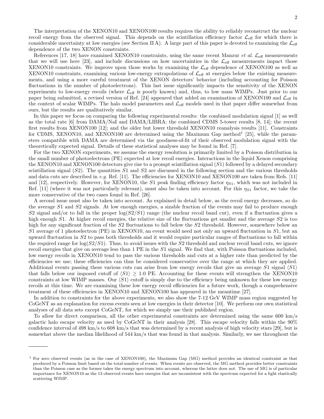The interpretation of the XENON10 and XENON100 results requires the ability to reliably reconstruct the nuclear recoil energy from the observed signal. This depends on the scintillation efficiency factor  $\mathcal{L}_{\text{eff}}$  for which there is considerable uncertainty at low energies (see Section II A). A large part of this paper is devoted to examining the  $\mathcal{L}_{\text{eff}}$ dependence of the two XENON constraints.

References [17, 18] have examined XENON10 constraints, using the same recent Manzur *et al.*  $\mathcal{L}_{\text{eff}}$  measurements that we will use here [23], and include discussions on how uncertainties in the  $\mathcal{L}_{\text{eff}}$  measurements impact those XENON10 constraints. We improve upon those works by examining the  $\mathcal{L}_{\text{eff}}$  dependence of XENON100 as well as XENON10 constraints, examining various low-energy extrapolations of  $\mathcal{L}_{\text{eff}}$  at energies below the existing measurements, and using a more careful treatment of the XENON detectors' behavior (including accounting for Poisson fluctuations in the number of photoelectrons). This last issue significantly impacts the sensitivity of the XENON experiments to low-energy recoils (where  $\mathcal{L}_{\text{eff}}$  is poorly known) and, thus, to low mass WIMPs. Just prior to our paper being submitted, a revised version of Ref. [24] appeared that added an examination of XENON100 and  $\mathcal{L}_{\text{eff}}$  in the context of scalar WIMPs. The halo model parameters and  $\mathcal{L}_{\text{eff}}$  models used in that paper differ somewhat from ours, but the results are qualitatively similar.

In this paper we focus on comparing the following experimental results: the combined modulation signal [1] as well as the total rate [6] from DAMA/NaI and DAMA/LIBRA; the combined CDMS 5-tower results [8, 14]; the recent first results from XENON100 [12]; and the older but lower threshold XENON10 reanalysis results [11]. Constraints for CDMS, XENON10, and XENON100 are determined using the Maximum Gap method<sup>1</sup> [25], while the parameters compatible with DAMA are determined via the goodness-of-fit of their observed modulation signal with the theoretically expected signal. Details of these statistical analyses may be found in Ref. [7].

For the two XENON experiments, we assume the energy resolution is primarily limited by a Poisson distribution in the small number of photoelectrons (PE) expected at low recoil energies. Interactions in the liquid Xenon comprising the XENON10 and XENON100 detectors give rise to a prompt scintillation signal (S1) followed by a delayed secondary scintillation signal  $(S2)$ . The quantities S1 and S2 are discussed in the following section and the various thresholds and data cuts are described in e.g. Ref. [11]. The efficiencies for XENON10 and XENON100 are taken from Refs. [11] and [12], respectively. However, for XENON10, the S1 peak finding efficiency factor  $\eta_{S1}$ , which was not included in Ref. [11] (where it was not particularly relevant), must also be taken into account. For this  $\eta_{S1}$  factor, we take the more conservative of the two cases found in Ref. [26].

A second issue must also be taken into account. As explained in detail below, as the recoil energy decreases, so do the average S1 and S2 signals. At low enough energies, a sizable fraction of the events may fail to produce enough S2 signal and/or to fall in the proper  $\log(S2/S1)$  range (the nuclear recoil band cut), even if a fluctuation gives a high enough  $S1$ . At higher recoil energies, the relative size of the fluctuations get smaller and the average  $S2$  is too high for any significant fraction of the S2 fluctuations to fall below the S2 threshold. However, somewhere below an S1 average of 1 photoelectron (PE) in XENON10, an event would need not only an upward fluctuation in S1, but an upward fluctuation in S2 to pass both thresholds and it would require particular ranges of fluctuations to fall within the required range for  $\log(S2/S1)$ . Thus, to avoid issues with the S2 threshold and nuclear recoil band cuts, we ignore recoil energies that give on average less than 1 PE in the S1 signal. We find that, with Poisson fluctuations included, low energy recoils in XENON10 tend to pass the various thresholds and cuts at a higher rate than predicted by the efficiencies we use; these efficiencies can thus be considered conservative over the range at which they are applied. Additional events passing these various cuts can arise from low energy recoils that give an average  $S1$  signal  $\langle S1 \rangle$ that falls below our imposed cutoff of  $\langle S1 \rangle \geq 1.0$  PE. Accounting for these events will strengthen the XENON10 constraints at low WIMP masses. Our  $\langle S1 \rangle$  cutoff is simply due to the efficiency being unknown for these low energy recoils at this time. We are examining these low energy recoil efficiencies for a future work, though a comprehensive treatment of these efficiencies in XENON10 and XENON100 has appeared in the meantime [27].

In addition to constraints for the above experiments, we also show the 7-12 GeV WIMP mass region suggested by CoGeNT as an explanation for excess events seen at low energies in their detector [10]. We perform our own statistical analyses of all data sets except CoGeNT, for which we simply use their published region.

To allow for direct comparison, all the other experimental constraints are determined using the same 600 km/s galactic halo escape velocity as used by CoGeNT in their analysis [28]. This escape velocity falls within the 90% confidence interval of 498 km/s to 608 km/s that was determined by a recent analysis of high velocity stars [29], but is somewhat above the median likelihood of 544 km/s that was found in that analysis. Similarly, we use throughout the

<sup>1</sup> For zero observed events (as in the case of XENON100), the Maximum Gap (MG) method provides an identical constraint as that produced by a Poisson limit based on the total number of events. When events are observed, the MG method provides better constraints than the Poisson case as the former takes the energy spectrum into account, whereas the latter does not. The use of MG is of particular importance for XENON10 as the 13 observed events have energies that are inconsistent with the spectrum expected for a light elastically scattering WIMP.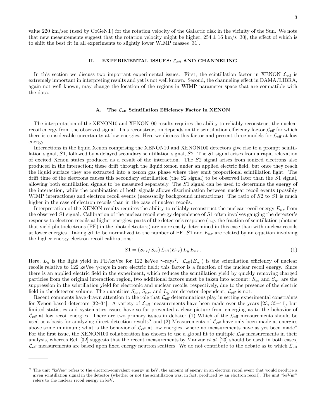value 220 km/sec (used by CoGeNT) for the rotation velocity of the Galactic disk in the vicinity of the Sun. We note that new measurements suggest that the rotation velocity might be higher,  $254 \pm 16$  km/s [30], the effect of which is to shift the best fit in all experiments to slightly lower WIMP masses [31].

## II. EXPERIMENTAL ISSUES:  $\mathcal{L}_{\text{eff}}$  AND CHANNELING

In this section we discuss two important experimental issues. First, the scintillation factor in XENON  $\mathcal{L}_{\text{eff}}$  is extremely important in interpreting results and yet is not well known. Second, the channeling effect in DAMA/LIBRA, again not well known, may change the location of the regions in WIMP parameter space that are compatible with the data.

#### The  $\mathcal{L}_{\text{eff}}$  Scintillation Efficiency Factor in XENON

The interpretation of the XENON10 and XENON100 results requires the ability to reliably reconstruct the nuclear recoil energy from the observed signal. This reconstruction depends on the scintillation efficiency factor  $\mathcal{L}_{\text{eff}}$  for which there is considerable uncertainty at low energies. Here we discuss this factor and present three models for  $\mathcal{L}_{\text{eff}}$  at low energy.

Interactions in the liquid Xenon comprising the XENON10 and XENON100 detectors give rise to a prompt scintillation signal, S1, followed by a delayed secondary scintillation signal, S2. The S1 signal arises from a rapid relaxation of excited Xenon states produced as a result of the interaction. The S2 signal arises from ionized electrons also produced in the interaction; these drift through the liquid xenon under an applied electric field, but once they reach the liquid surface they are extracted into a xenon gas phase where they emit proportional scintillation light. The drift time of the electrons causes this secondary scintillation (the S2 signal) to be observed later than the S1 signal, allowing both scintillation signals to be measured separately. The S1 signal can be used to determine the energy of the interaction, while the combination of both signals allows discrimination between nuclear recoil events (possibly WIMP interactions) and electron recoil events (necessarily background interactions). The ratio of  $S2$  to  $S1$  is much higher in the case of electron recoils than in the case of nuclear recoils.

Interpretation of the XENON results requires the ability to reliably reconstruct the nuclear recoil energy  $E_{nr}$  from the observed S1 signal. Calibration of the nuclear recoil energy dependence of S1 often involves gauging the detector's response to electron recoils at higher energies; parts of the detector's response (e.g. the fraction of scintillation photons that yield photoelectrons (PE) in the photodetectors) are more easily determined in this case than with nuclear recoils at lower energies. Taking S1 to be normalized to the number of PE, S1 and  $E_{nr}$  are related by an equation involving the higher energy electron recoil calibrations:

$$
S1 = (S_{nr}/S_{ee}) \mathcal{L}_{\text{eff}}(E_{nr}) L_y E_{nr} . \tag{1}
$$

Here,  $L_y$  is the light yield in PE/keVee for 122 keVee  $\gamma$ -rays<sup>2</sup>.  $\mathcal{L}_{\text{eff}}(E_{nr})$  is the scintillation efficiency of nuclear recoils relative to 122 keVee  $\gamma$ -rays in zero electric field; this factor is a function of the nuclear recoil energy. Since there is an applied electric field in the experiment, which reduces the scintillation yield by quickly removing charged particles from the original interaction region, two additional factors must be taken into account:  $S_{ee}$  and  $S_{nr}$  are the suppression in the scintillation yield for electronic and nuclear recoils, respectively, due to the presence of the electric field in the detector volume. The quantities  $S_{ee}$ ,  $S_{nr}$ , and  $L_y$  are detector dependent;  $\mathcal{L}_{\text{eff}}$  is not.

Recent comments have drawn attention to the role that  $\mathcal{L}_{\text{eff}}$  determinations play in setting experimental constraints for Xenon-based detectors [32–34]. A variety of  $\mathcal{L}_{\text{eff}}$  measurements have been made over the years [23, 35–41], but limited statistics and systematics issues have so far prevented a clear picture from emerging as to the behavior of  $\mathcal{L}_{\text{eff}}$  at low recoil energies. There are two primary issues in debate: (1) Which of the  $\mathcal{L}_{\text{eff}}$  measurements should be used as a basis for analyzing direct detection results? and  $(2)$  Measurements of  $\mathcal{L}_{\text{eff}}$  have only been made at energies above some minimum; what is the behavior of  $\mathcal{L}_{\text{eff}}$  at low energies, where no measurements have as yet been made? For the first issue, the XENON100 collaboration has chosen to use a global fit to multiple  $\mathcal{L}_{\text{eff}}$  measurements in their analysis, whereas Ref. [32] suggests that the recent measurements by Manzur et al. [23] should be used; in both cases,  $\mathcal{L}_{\text{eff}}$  measurements are based upon fixed energy neutron scatters. We do not contribute to the debate as to which  $\mathcal{L}_{\text{eff}}$ 

<sup>&</sup>lt;sup>2</sup> The unit "keVee" refers to the electron-equivalent energy in keV, the amount of energy in an electron recoil event that would produce a given scintillation signal in the detector (whether or not the scintillation was, in fact, produced by an electron recoil). The unit "keVnr" refers to the nuclear recoil energy in keV.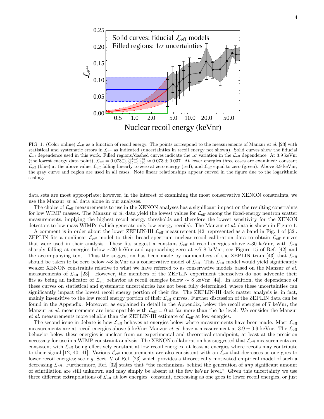

FIG. 1: (Color online)  $\mathcal{L}_{\text{eff}}$  as a function of recoil energy. The points correspond to the measurements of Manzur *et al.* [23] with statistical and systematic errors in  $\mathcal{L}_{\text{eff}}$  as indicated (uncertainties in recoil energy not shown). Solid curves show the fiducial  $\mathcal{L}_{\text{eff}}$  dependence used in this work. Filled regions/dashed curves indicate the  $1\sigma$  variation in the  $\mathcal{L}_{\text{eff}}$  dependence. At 3.9 keVnr (the lowest energy data point),  $\mathcal{L}_{\text{eff}} = 0.073^{+0.034+0.018}_{-0.025-0$  $\mathcal{L}_{\text{eff}}$  (blue) at the above value,  $\mathcal{L}_{\text{eff}}$  falling linearly to zero at zero energy (red), and  $\mathcal{L}_{\text{eff}}$  equal to zero (green). Above 3.9 keVnr, the gray curve and region are used in all cases. Note linear relationships appear curved in the figure due to the logarithmic scaling.

data sets are most appropriate; however, in the interest of examining the most conservative XENON constraints, we use the Manzur et al. data alone in our analyses.

The choice of  $\mathcal{L}_{\text{eff}}$  measurements to use in the XENON analyses has a significant impact on the resulting constraints for low WIMP masses. The Manzur *et al.* data yield the lowest values for  $\mathcal{L}_{\text{eff}}$  among the fixed-energy neutron scatter measurements, implying the highest recoil energy thresholds and therefore the lowest sensitivity for the XENON detectors to low mass WIMPs (which generate only low energy recoils). The Manzur *et al.* data is shown in Figure 1.

A comment is in order about the lower ZEPLIN-III  $\mathcal{L}_{\text{eff}}$  measurement [42] represented as a band in Fig. 1 of [32]. ZEPLIN fits a nonlinear  $\mathcal{L}_{\text{eff}}$  model to their broad spectrum nuclear recoil calibration data to obtain  $\mathcal{L}_{\text{eff}}$  curves that were used in their analysis. These fits suggest a constant  $\mathcal{L}_{\text{eff}}$  at recoil energies above ∼30 keVnr, with  $\mathcal{L}_{\text{eff}}$ sharply falling at energies below ∼20 keVnr and approaching zero at ∼7-8 keVnr; see Figure 15 of Ref. [42] and the accompanying text. Thus the suggestion has been made by nonmembers of the ZEPLIN team [43] that  $\mathcal{L}_{\text{eff}}$ should be taken to be zero below ∼8 keVnr as a conservative model of  $\mathcal{L}_{\text{eff}}$ . This  $\mathcal{L}_{\text{eff}}$  model would yield significantly weaker XENON constraints relative to what we have referred to as conservative models based on the Manzur et al. measurements of  $\mathcal{L}_{\text{eff}}$  [23]. However, the members of the ZEPLIN experiment themselves do not advocate their fits as being an indicator of Leff behavior at recoil energies below ∼ 8 keVnr [44]. In addition, the dependence of these curves on statistical and systematic uncertainties has not been fully determined, where these uncertainties can significantly impact the lowest recoil energy portion of their fits. The ZEPLIN-III dark matter analysis is, in fact, mainly insensitive to the low recoil energy portion of their  $\mathcal{L}_{\text{eff}}$  curves. Further discussion of the ZEPLIN data can be found in the Appendix. Moreover, as explained in detail in the Appendix, below the recoil energies of 7 keVnr, the Manzur *et al.* measurements are incompatible with  $\mathcal{L}_{\text{eff}} = 0$  at far more than the  $3\sigma$  level. We consider the Manzur et al. measurements more reliable than the ZEPLIN-III estimate of  $\mathcal{L}_{\text{eff}}$  at low energies.

The second issue in debate is how  $\mathcal{L}_{\text{eff}}$  behaves at energies below where measurements have been made. Most  $\mathcal{L}_{\text{eff}}$ measurements are at recoil energies above 5 keVnr; Manzur *et al.* have a measurement at  $3.9 \pm 0.9$  keVnr. The  $\mathcal{L}_{\text{eff}}$ behavior below these energies is unclear from an experimental and theoretical standpoint, at least at the precision necessary for use in a WIMP constraint analysis. The XENON collaboration has suggested that  $\mathcal{L}_{\text{eff}}$  measurements are consistent with  $\mathcal{L}_{\text{eff}}$  being effectively constant at low recoil energies, at least at energies where recoils may contribute to their signal [12, 40, 41]. Various  $\mathcal{L}_{\text{eff}}$  measurements are also consistent with an  $\mathcal{L}_{\text{eff}}$  that decreases as one goes to lower recoil energies; see e.g. Sect. V of Ref. [23] which provides a theoretically motivated empirical model of such a decreasing  $\mathcal{L}_{\text{eff}}$ . Furthermore, Ref. [32] states that "the mechanisms behind the generation of any significant amount of scintillation are still unknown and may simply be absent at the few keVnr level." Given this uncertainty we use three different extrapolations of  $\mathcal{L}_{\text{eff}}$  at low energies: constant, decreasing as one goes to lower recoil energies, or just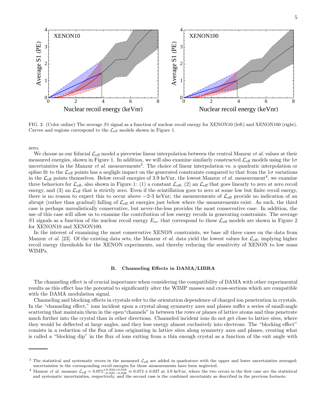

FIG. 2: (Color online) The average S1 signal as a function of nuclear recoil energy for XENON10 (left) and XENON100 (right). Curves and regions correspond to the  $\mathcal{L}_{\text{eff}}$  models shown in Figure 1.

zero.

We choose as our fiducial  $\mathcal{L}_{eff}$  model a piecewise linear interpolation between the central Manzur *et al.* values at their measured energies, shown in Figure 1. In addition, we will also examine similarly constructed  $\mathcal{L}_{\text{eff}}$  models using the  $1\sigma$ uncertainties in the Manzur *et al.* measurements<sup>3</sup>. The choice of linear interpolation vs. a quadratic interpolation or spline fit to the  $\mathcal{L}_{\text{eff}}$  points has a negligle impact on the generated constraints compared to that from the  $1\sigma$  variations in the  $\mathcal{L}_{\text{eff}}$  points themselves. Below recoil energies of 3.9 keVnr, the lowest Manzur *et al.* measurement<sup>4</sup>, we examine three behaviors for  $\mathcal{L}_{\text{eff}}$ , also shown in Figure 1: (1) a constant  $\mathcal{L}_{\text{eff}}$ , (2) an  $\mathcal{L}_{\text{eff}}$  that goes linearly to zero at zero recoil energy, and (3) an  $\mathcal{L}_{\text{eff}}$  that is strictly zero. Even if the scintillation goes to zero at some low but finite recoil energy, there is no reason to expect this to occur above ∼2-3 keVnr; the measurements of  $\mathcal{L}_{eff}$  provide no indication of an abrupt (rather than gradual) falling of  $\mathcal{L}_{\text{eff}}$  at energies just below where the measurements exist. As such, the third case is perhaps unrealistically conservative, but never-the-less provides the most conservative case. In addition, the use of this case will allow us to examine the contribution of low energy recoils in generating constraints. The average S1 signals as a function of the nuclear recoil energy  $E_{nr}$  that correspond to these  $\mathcal{L}_{\text{eff}}$  models are shown in Figure 2 for XENON10 and XENON100.

In the interest of examining the most conservative XENON constraints, we base all three cases on the data from Manzur *et al.* [23]. Of the existing data sets, the Manzur *et al.* data yield the lowest values for  $\mathcal{L}_{\text{eff}}$ , implying higher recoil energy thresholds for the XENON experiments, and thereby reducing the sensitivity of XENON to low mass WIMPs.

#### B. Channeling Effects in DAMA/LIBRA

The channeling effect is of crucial importance when considering the compatibility of DAMA with other experimental results as this effect has the potential to significantly alter the WIMP masses and cross-sections which are compatible with the DAMA modulation signal.

Channeling and blocking effects in crystals refer to the orientation dependence of charged ion penetration in crystals. In the "channeling effect," ions incident upon a crystal along symmetry axes and planes suffer a series of small-angle scattering that maintain them in the open"channels" in between the rows or planes of lattice atoms and thus penetrate much further into the crystal than in other directions. Channeled incident ions do not get close to lattice sites, where they would be deflected at large angles, and they lose energy almost exclusively into electrons. The "blocking effect" consists in a reduction of the flux of ions originating in lattice sites along symmetry axes and planes, creating what is called a "blocking dip" in the flux of ions exiting from a thin enough crystal as a function of the exit angle with

 $3$  The statistical and systematic errors in the measured  $\mathcal{L}_{\text{eff}}$  are added in quadrature with the upper and lower uncertainties averaged; uncertainties in the corresponding recoil energies for those measurements have been neglected.

<sup>&</sup>lt;sup>4</sup> Manzur *et al.* measure  $\mathcal{L}_{eff} = 0.073_{-0.025-0.026}^{+0.034+0.018} \approx 0.073 \pm 0.037$  at 3.9 keVnr, where the two errors in the first case are the statistical and systematic uncertainties, respectively, and the second case is the combined uncertainty as described in the previous footnote.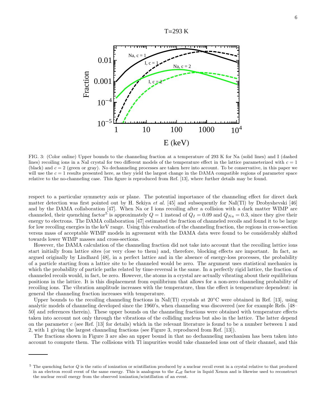

FIG. 3: (Color online) Upper bounds to the channeling fraction at a temperature of 293 K for Na (solid lines) and I (dashed lines) recoiling ions in a NaI crystal for two different models of the temperature effect in the lattice parameterized with  $c = 1$ (black) and  $c = 2$  (green or gray). No dechanneling processes are taken here into account. To be conservative, in this paper we will use the  $c = 1$  results presented here, as they yield the largest change in the DAMA compatible regions of parameter space relative to the no-channeling case. This figure is reproduced from Ref. [13], where further details may be found.

respect to a particular symmetry axis or plane. The potential importance of the channeling effect for direct dark matter detection was first pointed out by H. Sekiya *et al.* [45] and subsequently for NaI(Tl) by Drobyshevski [46] and by the DAMA collaboration [47]. When Na or I ions recoiling after a collision with a dark matter WIMP are channeled, their quenching factor<sup>5</sup> is approximately  $Q = 1$  instead of  $Q_I = 0.09$  and  $Q_{Na} = 0.3$ , since they give their energy to electrons. The DAMA collaboration [47] estimated the fraction of channeled recoils and found it to be large for low recoiling energies in the keV range. Using this evaluation of the channeling fraction, the regions in cross-section versus mass of acceptable WIMP models in agreement with the DAMA data were found to be considerably shifted towards lower WIMP masses and cross-sections.

However, the DAMA calculation of the channeling fraction did not take into account that the recoiling lattice ions start initially from lattice sites (or very close to them) and, therefore, blocking effects are important. In fact, as argued originally by Lindhard [48], in a perfect lattice and in the absence of energy-loss processes, the probability of a particle starting from a lattice site to be channeled would be zero. The argument uses statistical mechanics in which the probability of particle paths related by time-reversal is the same. In a perfectly rigid lattice, the fraction of channeled recoils would, in fact, be zero. However, the atoms in a crystal are actually vibrating about their equilibrium positions in the lattice. It is this displacement from equilibrium that allows for a non-zero channeling probability of recoiling ions. The vibration amplitude increases with the temperature, thus the effect is temperature dependent: in general the channeling fraction increases with temperature.

Upper bounds to the recoiling channeling fractions in NaI(Tl) crystals at  $20^{\circ}$ C were obtained in Ref. [13], using analytic models of channeling developed since the 1960's, when channeling was discovered (see for example Refs. [48– 50] and references therein). These upper bounds on the channeling fractions were obtained with temperature effects taken into account not only through the vibrations of the colliding nucleus but also in the lattice. The latter depend on the parameter c (see Ref. [13] for details) which in the relevant literature is found to be a number between 1 and 2, with 1 giving the largest channeling fractions (see Figure 3, reproduced from Ref. [13]).

The fractions shown in Figure 3 are also an upper bound in that no dechanneling mechanism has been taken into account to compute them. The collisions with Tl impurities would take channeled ions out of their channel, and this

 $5$  The quenching factor  $Q$  is the ratio of ionization or scintillation produced by a nuclear recoil event in a crystal relative to that produced in an electron recoil event of the same energy. This is analogous to the  $\mathcal{L}_{\text{eff}}$  factor in liquid Xenon and is likewise used to reconstruct the nuclear recoil energy from the observed ionization/scintillation of an event.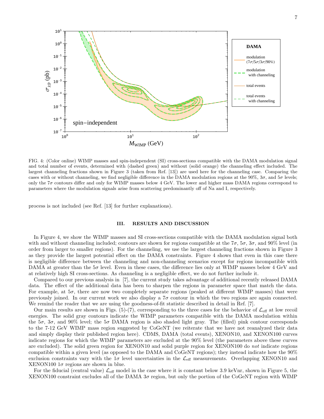

FIG. 4: (Color online) WIMP masses and spin-independent (SI) cross-sections compatible with the DAMA modulation signal and total number of events, determined with (dashed green) and without (solid orange) the channeling effect included. The largest channeling fractions shown in Figure 3 (taken from Ref. [13]) are used here for the channeling case. Comparing the cases with or without channeling, we find negligible difference in the DAMA modulation regions at the  $90\%$ ,  $3\sigma$ , and  $5\sigma$  levels; only the  $7\sigma$  contours differ and only for WIMP masses below 4 GeV. The lower and higher mass DAMA regions correspond to parameters where the modulation signals arise from scattering predominantly off of Na and I, respectively.

process is not included (see Ref. [13] for further explanations).

#### III. RESULTS AND DISCUSSION

In Figure 4, we show the WIMP masses and SI cross-sections compatible with the DAMA modulation signal both with and without channeling included; contours are shown for regions compatible at the  $7\sigma$ ,  $5\sigma$ ,  $3\sigma$ , and  $90\%$  level (in order from larger to smaller regions). For the channeling, we use the largest channeling fractions shown in Figure 3 as they provide the largest potential effect on the DAMA constraints. Figure 4 shows that even in this case there is negligible difference between the channeling and non-channeling scenarios except for regions incompatible with DAMA at greater than the  $5\sigma$  level. Even in these cases, the difference lies only at WIMP masses below 4 GeV and at relatively high SI cross-sections. As channeling is a negligible effect, we do not further include it.

Compared to our previous analysis in [7], the current study takes advantage of additional recently released DAMA data. The effect of the additional data has been to sharpen the regions in parameter space that match the data. For example, at  $5\sigma$ , there are now two completely separate regions (peaked at different WIMP masses) that were previously joined. In our current work we also display a  $7\sigma$  contour in which the two regions are again connected. We remind the reader that we are using the goodness-of-fit statistic described in detail in Ref. [7].

Our main results are shown in Figs.  $(5)-(7)$ , corresponding to the three cases for the behavior of  $\mathcal{L}_{\text{eff}}$  at low recoil energies. The solid gray contours indicate the WIMP parameters compatible with the DAMA modulation within the  $5\sigma$ ,  $3\sigma$ , and  $90\%$  level; the  $5\sigma$  DAMA region is also shaded light gray. The (filled) pink contour corresponds to the 7-12 GeV WIMP mass region suggested by CoGeNT (we reiterate that we have not reanalyzed their data and simply display their published region here). CDMS, DAMA (total events), XENON10, and XENON100 curves indicate regions for which the WIMP parameters are excluded at the 90% level (the parameters above these curves are excluded). The solid green region for XENON10 and solid purple region for XENON100 do not indicate regions compatible within a given level (as opposed to the DAMA and CoGeNT regions); they instead indicate how the 90% exclusion constraints vary with the  $1\sigma$  level uncertainties in the  $\mathcal{L}_{\text{eff}}$  measurements. Overlapping XENON10 and XENON100  $1\sigma$  regions are shown in blue.

For the fiducial (central value)  $\mathcal{L}_{\text{eff}}$  model in the case where it is constant below 3.9 keVnr, shown in Figure 5, the XENON100 constraint excludes all of the DAMA 3σ region, but only the portion of the CoGeNT region with WIMP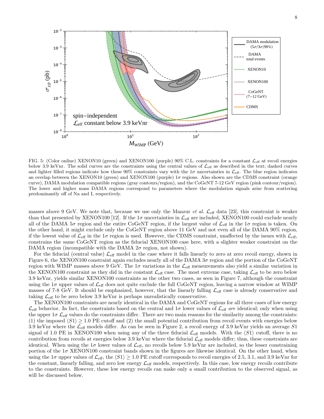

FIG. 5: (Color online) XENON10 (green) and XENON100 (purple)  $90\%$  C.L. constraints for a constant  $\mathcal{L}_{\text{eff}}$  at recoil energies below 3.9 keVnr. The solid curves are the constraints using the central values of  $\mathcal{L}_{\text{eff}}$  as described in the text; dashed curves and lighter filled regions indicate how these 90% constraints vary with the  $1\sigma$  uncertainties in  $\mathcal{L}_{\text{eff}}$ . The blue region indicates an overlap between the XENON10 (green) and XENON100 (purple)  $1\sigma$  regions. Also shown are the CDMS constraint (orange curve), DAMA modulation compatible regions (gray contours/region), and the CoGeNT 7-12 GeV region (pink contour/region). The lower and higher mass DAMA regions correspond to parameters where the modulation signals arise from scattering predominantly off of Na and I, respectively.

masses above 9 GeV. We note that, because we use only the Manzur *et al.*  $\mathcal{L}_{\text{eff}}$  data [23], this constraint is weaker than that presented by XENON100 [12]. If the  $1\sigma$  uncertainties in  $\mathcal{L}_{\text{eff}}$  are included, XENON100 could exclude nearly all of the DAMA  $5\sigma$  region and the entire CoGeNT region, if the largest value of  $\mathcal{L}_{eff}$  in the 1 $\sigma$  region is taken. On the other hand, it might exclude only the CoGeNT region above 11 GeV and not even all of the DAMA 90% region, if the lowest value of  $\mathcal{L}_{\text{eff}}$  in the 1 $\sigma$  region is used. However, the CDMS constraint, unaffected by the issues with  $\mathcal{L}_{\text{eff}}$ , constrains the same CoGeNT region as the fiducial XENON100 case here, with a slighter weaker constraint on the DAMA region (incompatible with the DAMA  $2\sigma$  region, not shown).

For the fiducial (central value)  $\mathcal{L}_{\text{eff}}$  model in the case where it falls linearly to zero at zero recoil energy, shown in Figure 6, the XENON100 constraint again excludes nearly all of the DAMA  $3\sigma$  region and the portion of the CoGeNT region with WIMP masses above 9 GeV. The  $1\sigma$  variations in the  $\mathcal{L}_{\text{eff}}$  measurements also yield a similar variation in the XENON100 constraint as they did in the constant  $\mathcal{L}_{\text{eff}}$  case. The most extreme case, taking  $\mathcal{L}_{\text{eff}}$  to be zero below 3.9 keVnr, yields similar XENON100 constraints as the other two cases, as seen in Figure 7, although the constraint using the  $1\sigma$  upper values of  $\mathcal{L}_{\text{eff}}$  does not quite exclude the full CoGeNT region, leaving a narrow window at WIMP masses of 7-8 GeV. It should be emphasized, however, that the linearly falling  $\mathcal{L}_{\text{eff}}$  case is already conservative and taking  $\mathcal{L}_{\text{eff}}$  to be zero below 3.9 keVnr is perhaps unrealistically conservative.

The XENON100 constraints are nearly identical in the DAMA and CoGeNT regions for all three cases of low energy  $\mathcal{L}_{\text{eff}}$  behavior. In fact, the constraints based on the central and  $1\sigma$  lower values of  $\mathcal{L}_{\text{eff}}$  are identical; only when using the upper  $1\sigma \mathcal{L}_{\text{eff}}$  values do the constraints differ. There are two main reasons for the similarity among the constraints: (1) the imposed  $\langle S1 \rangle \geq 1.0$  PE cutoff and (2) the small potential contribution from recoil events with energies below 3.9 keVnr where the  $\mathcal{L}_{\text{eff}}$  models differ. As can be seen in Figure 2, a recoil energy of 3.9 keVnr yields an average S1 signal of 1.0 PE in XENON100 when using any of the three fiducial  $\mathcal{L}_{\text{eff}}$  models. With the  $\langle S1 \rangle$  cutoff, there is no contribution from recoils at energies below 3.9 keVnr where the fiducial  $\mathcal{L}_{\text{eff}}$  models differ; thus, these constraints are identical. When using the  $1\sigma$  lower values of  $\mathcal{L}_{\text{eff}}$ , no recoils below 5.9 keVnr are included, so the lesser constraining portion of the  $1\sigma$  XENON100 constraint bands shown in the figures are likewise identical. On the other hand, when using the  $1\sigma$  upper values of  $\mathcal{L}_{\text{eff}}$ , the  $\langle S1 \rangle \geq 1.0$  PE cutoff corresponds to recoil energies of 2.5, 3.1, and 3.9 keVnr for the constant, linearly falling, and zero low energy  $\mathcal{L}_{\text{eff}}$  models, respectively. In this case, low energy recoils contribute to the constraints. However, these low energy recoils can make only a small contribution to the observed signal, as will be discussed below.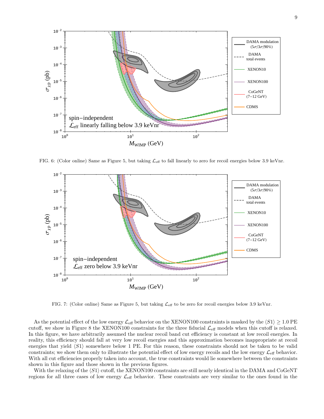

FIG. 6: (Color online) Same as Figure 5, but taking  $\mathcal{L}_{\text{eff}}$  to fall linearly to zero for recoil energies below 3.9 keVnr.



FIG. 7: (Color online) Same as Figure 5, but taking  $\mathcal{L}_{\text{eff}}$  to be zero for recoil energies below 3.9 keVnr.

As the potential effect of the low energy  $\mathcal{L}_{eff}$  behavior on the XENON100 constraints is masked by the  $\langle S1 \rangle \geq 1.0$  PE cutoff, we show in Figure 8 the XENON100 constraints for the three fiducial  $\mathcal{L}_{\text{eff}}$  models when this cutoff is relaxed. In this figure, we have arbitrarily assumed the nuclear recoil band cut efficiency is constant at low recoil energies. In reality, this efficiency should fall at very low recoil energies and this approximation becomes inappropriate at recoil energies that yield  $\langle S1 \rangle$  somewhere below 1 PE. For this reason, these constraints should not be taken to be valid constraints; we show them only to illustrate the potential effect of low energy recoils and the low energy  $\mathcal{L}_{\text{eff}}$  behavior. With all cut efficiencies properly taken into account, the true constraints would lie somewhere between the constraints shown in this figure and those shown in the previous figures.

With the relaxing of the  $\langle S1 \rangle$  cutoff, the XENON100 constraints are still nearly identical in the DAMA and CoGeNT regions for all three cases of low energy  $\mathcal{L}_{\text{eff}}$  behavior. These constraints are very similar to the ones found in the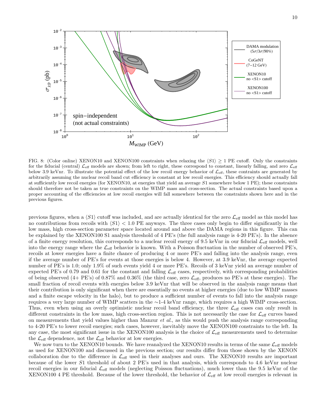

FIG. 8: (Color online) XENON10 and XENON100 constraints when relaxing the  $\langle S1 \rangle > 1$  PE cutoff. Only the constraints for the fiducial (central)  $\mathcal{L}_{\text{eff}}$  models are shown; from left to right, these correspond to constant, linearly falling, and zero  $\mathcal{L}_{\text{eff}}$ below 3.9 keVnr. To illustrate the potential effect of the low recoil energy behavior of  $\mathcal{L}_{\text{eff}}$ , these contraints are generated by arbitrarily assuming the nuclear recoil band cut efficiency is constant at low recoil energies. This efficiency should actually fall at sufficiently low recoil energies (for XENON10, at energies that yield an average S1 somewhere below 1 PE); these constraints should therefore not be taken as true constraints on the WIMP mass and cross-section. The actual constraints based upon a proper accounting of the efficiencies at low recoil energies will fall somewhere between the constraints shown here and in the previous figures.

previous figures, when a  $\langle S1 \rangle$  cutoff was included, and are actually identical for the zero  $\mathcal{L}_{\text{eff}}$  model as this model has no contributions from recoils with  $\langle S1 \rangle < 1.0$  PE anyways. The three cases only begin to differ significantly in the low mass, high cross-section parameter space located around and above the DAMA regions in this figure. This can be explained by the XENON100 S1 analysis threshold of 4 PE's (the full analysis range is 4-20 PE's). In the absence of a finite energy resolution, this corresponds to a nuclear recoil energy of 9.5 keVnr in our fiducial  $\mathcal{L}_{\text{eff}}$  models, well into the energy range where the  $\mathcal{L}_{eff}$  behavior is known. With a Poisson fluctuation in the number of observed PE's, recoils at lower energies have a finite chance of producing 4 or more PE's and falling into the analysis range, even if the average number of PE's for events at those energies is below 4. However, at 3.9 keVnr, the average expected number of PE's is 1.0; only 1.9% of such events yield 4 or more PE's. Recoils of 3 keVnr yield an average number of expected PE's of 0.79 and 0.61 for the constant and falling  $\mathcal{L}_{\text{eff}}$  cases, respectively, with corresponding probabilities of being observed  $(4+PE's)$  of 0.87% and 0.36% (the third case, zero  $\mathcal{L}_{\text{eff}}$ , produces no PE's at these energies). The small fraction of recoil events with energies below 3.9 keVnr that will be observed in the analysis range means that their contribution is only significant when there are essentially no events at higher energies (due to low WIMP masses and a finite escape velocity in the halo), but to produce a sufficient number of events to fall into the analysis range requires a very large number of WIMP scatters in the ∼1-4 keVnr range, which requires a high WIMP cross-section. Thus, even when using an overly optimistic nuclear recoil band efficiency, the three  $\mathcal{L}_{\text{eff}}$  cases can only result in different constraints in the low mass, high cross-section region. This is not necessarily the case for  $\mathcal{L}_{\text{eff}}$  curves based on measurements that yield values higher than Manzur  $et al.,$  as this would push the analysis range corresponding to 4-20 PE's to lower recoil energies; such cases, however, inevitably move the XENON100 constraints to the left. In any case, the most significant issue in the XENON100 analysis is the choice of  $\mathcal{L}_{\text{eff}}$  measurements used to determine the  $\mathcal{L}_{\text{eff}}$  dependence, not the  $\mathcal{L}_{\text{eff}}$  behavior at low energies.

We now turn to the XENON10 bounds. We have reanalyzed the XENON10 results in terms of the same  $\mathcal{L}_{\text{eff}}$  models as used for XENON100 and discussed in the previous section; our results differ from those shown by the XENON collaboration due to the difference in  $\mathcal{L}_{\text{eff}}$  used in their analyses and ours. The XENON10 results are important because of the lower S1 threshold of about 2 PE's used in that analysis, which corresponds to 4.6 keVnr nuclear recoil energies in our fiducial  $\mathcal{L}_{\text{eff}}$  models (neglecting Poisson fluctuations), much lower than the 9.5 keVnr of the XENON100 4 PE threshold. Because of the lower threshold, the behavior of  $\mathcal{L}_{\text{eff}}$  at low recoil energies is relevant in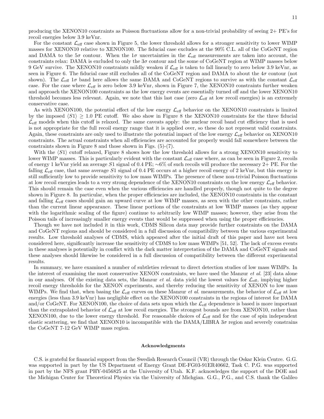producing the XENON10 constraints as Poisson fluctuations allow for a non-trivial probability of seeing 2+ PE's for recoil energies below 3.9 keVnr.

For the constant  $\mathcal{L}_{\text{eff}}$  case shown in Figure 5, the lower threshold allows for a stronger sensitivity to lower WIMP masses for XENON10 relative to XENON100. The fiducial case excludes at the 90% C.L. all of the CoGeNT region and DAMA to the  $5\sigma$  contour. When the  $1\sigma$  uncertainties in the  $\mathcal{L}_{\text{eff}}$  measurements are taken into account, the constraints relax: DAMA is excluded to only the  $3\sigma$  contour and the some of CoGeNT region at WIMP masses below 9 GeV survive. The XENON10 constraints mildly weaken if  $\mathcal{L}_{\text{eff}}$  is taken to fall linearly to zero below 3.9 keVnr, as seen in Figure 6. The fiducial case still excludes all of the CoGeNT region and DAMA to about the  $4\sigma$  contour (not shown). The  $\mathcal{L}_{\text{eff}}$  1 $\sigma$  band here allows the same DAMA and CoGeNT regions to survive as with the constant  $\mathcal{L}_{\text{eff}}$ case. For the case where  $\mathcal{L}_{\text{eff}}$  is zero below 3.9 keVnr, shown in Figure 7, the XENON10 constraints further weaken and approach the XENON100 constraints as the low energy events are essentially turned off and the lower XENON10 threshold becomes less relevant. Again, we note that this last case (zero  $\mathcal{L}_{\text{eff}}$  at low recoil energies) is an extremely conservative case.

As with XENON100, the potential effect of the low energy  $\mathcal{L}_{\text{eff}}$  behavior on the XENON10 constraints is limited by the imposed  $\langle S1 \rangle \geq 1.0$  PE cutoff. We also show in Figure 8 the XENON10 constraints for the three fiducial  $\mathcal{L}_{\text{eff}}$  models when this cutoff is relaxed. The same caveats apply: the nuclear recoil band cut efficiency that is used is not appropriate for the full recoil energy range that it is applied over, so these do not represent valid constraints. Again, these constraints are only used to illustrate the potential impact of the low energy  $\mathcal{L}_{\text{eff}}$  behavior on XENON10 constraints. The actual constraints when all efficiencies are accounted for properly would fall somewhere between the constraints shown in Figure 8 and those shown in Figs. (5)-(7).

With the  $\langle S1 \rangle$  cutoff relaxed, Figure 8 shows how the low threshold allows for a strong XENON10 sensitivity to lower WIMP masses. This is particularly evident with the constant  $\mathcal{L}_{\text{eff}}$  case where, as can be seen in Figure 2, recoils of energy 1 keVnr yield an average S1 signal of 0.4 PE; ∼6% of such recoils will produce the necessary 2+ PE. For the falling  $\mathcal{L}_{\text{eff}}$  case, that same average S1 signal of 0.4 PE occurs at a higher recoil energy of 2 keVnr, but this energy is still sufficiently low to provide sensitivity to low mass WIMPs. The presence of these non-trivial Poisson fluctuations at low recoil energies leads to a very strong dependence of the XENON10 constraints on the low energy  $\mathcal{L}_{\text{eff}}$  behavior. This should remain the case even when the various efficiencies are handled properly, though not quite to the degree shown in Figure 8. In particular, when the proper efficiencies are included, the XENON10 constraints in the constant and falling  $\mathcal{L}_{\text{eff}}$  cases should gain an upward curve at low WIMP masses, as seen with the other constraints, rather than the current linear appearance. These linear portions of the constraints at low WIMP masses (as they appear with the logarithmic scaling of the figure) continue to arbitrarily low WIMP masses; however, they arise from the Poisson tails of increasingly smaller energy events that would be suppressed when using the proper efficiencies.

Though we have not included it in this work, CDMS Silicon data may provide further constraints on the DAMA and CoGeNT regions and should be considered in a full discussion of compatibility between the various experimental results. Low threshold analyses of CDMS, which appeared after the initial draft of this paper and have not been considered here, significantly increase the sensitivity of CDMS to low mass WIMPs [51, 52]. The lack of excess events in these analyses is potentially in conflict with the dark matter interpretation of the DAMA and CoGeNT signals and these analyses should likewise be considered in a full discussion of compatibility between the different experimental results.

In summary, we have examined a number of subtleties relevant to direct detection studies of low mass WIMPs. In the interest of examining the most conservative XENON constraints, we have used the Manzur *et al.* [23] data alone in our analyses. Of the existing data sets, the Manzur *et al.* data yield the lowest values for  $\mathcal{L}_{\text{eff}}$ , implying higher recoil energy thresholds for the XENON experiments, and thereby reducing the sensitivity of XENON to low mass WIMPs. We find that, when basing the  $\mathcal{L}_{\text{eff}}$  curves on these Manzur *et al.* measurements, the behavior of  $\mathcal{L}_{\text{eff}}$  at low energies (less than 3.9 keVnr) has negligible effect on the XENON100 constraints in the regions of interest for DAMA and/or CoGeNT. For XENON100, the choice of data sets upon which the  $\mathcal{L}_{\text{eff}}$  dependence is based is more important than the extrapolated behavior of  $\mathcal{L}_{\text{eff}}$  at low recoil energies. The strongest bounds are from XENON10, rather than XENON100, due to the lower energy threshold. For reasonable choices of  $\mathcal{L}_{\text{eff}}$  and for the case of spin independent elastic scattering, we find that XENON10 is incompatible with the DAMA/LIBRA 3σ region and severely constrains the CoGeNT 7-12 GeV WIMP mass region.

#### Acknowledgments

C.S. is grateful for financial support from the Swedish Research Council (VR) through the Oskar Klein Centre. G.G. was supported in part by the US Department of Energy Grant DE-FG03-91ER40662, Task C. P.G. was supported in part by the NFS grant PHY-0456825 at the University of Utah. K.F. acknowledges the support of the DOE and the Michigan Center for Theoretical Physics via the University of Michgian. G.G., P.G., and C.S. thank the Galileo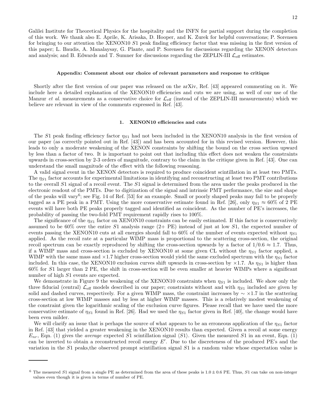Galilei Institute for Theoretical Physics for the hospitality and the INFN for partial support during the completion of this work. We thank also E. Aprile, K. Arisaka, D. Hooper, and K. Zurek for helpful conversations; P. Sorensen for bringing to our attention the XENON10 S1 peak finding efficiency factor that was missing in the first version of this paper; L. Baudis, A. Manalaysay, G. Plante, and P. Sorensen for discussions regarding the XENON detectors and analysis; and B. Edwards and T. Sumner for discussions regarding the ZEPLIN-III  $\mathcal{L}_{\text{eff}}$  estimates.

#### Appendix: Comment about our choice of relevant parameters and response to critique

Shortly after the first version of our paper was released on the arXiv, Ref. [43] appeared commenting on it. We include here a detailed explanation of the XENON10 efficiencies and cuts we are using, as well of our use of the Manzur *et al.* measurements as a conservative choice for  $\mathcal{L}_{eff}$  (instead of the ZEPLIN-III measurements) which we believe are relevant in view of the comments expressed in Ref. [43].

#### 1. XENON10 efficiencies and cuts

The S1 peak finding efficiency factor  $\eta_{S1}$  had not been included in the XENON10 analysis in the first version of our paper (as correctly pointed out in Ref. [43]) and has been accounted for in this revised version. However, this leads to only a moderate weakening of the XENON constraints by shifting the bound on the cross section upward by less than a factor of two. It is important to point out that including this effect does not weaken the constraints upwards in cross-section by 2-3 orders of magnitude, contrary to the claim in the critique given in Ref. [43]. One can understand the small magnitude of the effect with the following reasoning.

A valid signal event in the XENON detectors is required to produce coincident scintillation in at least two PMTs. The  $\eta_{S1}$  factor accounts for experimental limitations in identifying and reconstructing at least two PMT contributions to the overall S1 signal of a recoil event. The S1 signal is determined from the area under the peaks produced in the electronic readout of the PMTs. Due to digitization of the signal and intrinsic PMT performance, the size and shape of the peaks will vary<sup>6</sup>; see Fig. 14 of Ref. [53] for an example. Small or poorly shaped peaks may fail to be properly tagged as a PE peak in a PMT. Using the more conservative estimate found in Ref. [26], only  $\eta_{S1} \approx 60\%$  of 2 PE events will have both PE peaks properly tagged and identified as coincident. As the number of PE's increases, the probability of passing the two-fold PMT requirement rapidly rises to 100%.

The significance of the  $\eta_{S1}$  factor on XENON10 constraints can be easily estimated. If this factor is conservatively assumed to be  $60\%$  over the entire S1 analysis range  $(2+$  PE) instead of just at low S1, the expected number of events passing the XENON10 cuts at all energies should fall to 60% of the number of events expected without  $\eta_{S1}$ applied. As the recoil rate at a particular WIMP mass is proportional to the scattering cross-section, the original recoil spectrum can be exactly reproduced by shifting the cross-section upwards by a factor of  $1/0.6 \approx 1.7$ . Thus, if a WIMP mass and cross-section is excluded by XENON10 at some given CL without the  $\eta_{S1}$  factor applied, a WIMP with the same mass and  $\times$ 1.7 higher cross-section would yield the same excluded spectrum with the  $\eta_{S1}$  factor included. In this case, the XENON10 exclusion curves shift upwards in cross-section by  $\times$ 1.7. As  $\eta_{S1}$  is higher than 60% for S1 larger than 2 PE, the shift in cross-section will be even smaller at heavier WIMPs where a significant number of high  $S1$  events are expected.

We demonstrate in Figure 9 the weakening of the XENON10 constraints when  $\eta_{S1}$  is included. We show only the three fiducial (central)  $\mathcal{L}_{\text{eff}}$  models described in our paper; constraints without and with  $\eta_{S1}$  included are given by solid and dashed curves, respectively. For a given WIMP mass, the constraint increases by  $\sim \times 1.7$  in the scattering cross-section at low WIMP masses and by less at higher WIMP masses. This is a relatively modest weakening of the constraint given the logarithmic scaling of the exclusion curve figures. Please recall that we have used the more conservative estimate of  $\eta_{S1}$  found in Ref. [26]. Had we used the  $\eta_{S1}$  factor given in Ref. [40], the change would have been even milder.

We will clarify an issue that is perhaps the source of what appears to be an erroneous application of the  $\eta_{S1}$  factor in Ref. [43] that yielded a greater weakening in the XENON10 results than expected. Given a recoil at some energy  $E_{nr}$ , Eqn. (1) gives the *average* expected S1 scintillation signal  $\langle S1 \rangle$ . Given the measured S1 in an event, Eqn. (1) can be inverted to obtain a reconstructed recoil energy  $E'$ . Due to the discreteness of the produced PE's and the variation in the S1 peaks,the observed prompt scintillation signal S1 is a random value whose expectation value is

 $6$  The measured S1 signal from a single PE as determined from the area of these peaks is  $1.0 \pm 0.6$  PE. Thus, S1 can take on non-integer values even though it is given in terms of number of PE.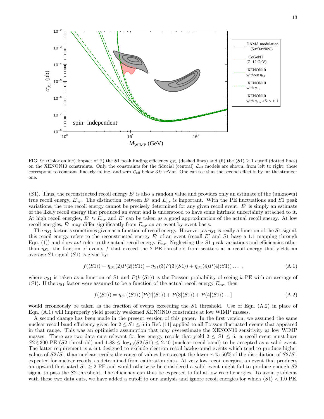

FIG. 9: (Color online) Impact of (i) the S1 peak finding efficiency  $\eta_{S1}$  (dashed lines) and (ii) the  $\langle S1 \rangle > 1$  cutoff (dotted lines) on the XENON10 constraints. Only the constraints for the fiducial (central)  $\mathcal{L}_{\text{eff}}$  models are shown; from left to right, these correspond to constant, linearly falling, and zero  $\mathcal{L}_{\text{eff}}$  below 3.9 keVnr. One can see that the second effect is by far the stronger one.

 $\langle S1\rangle$ . Thus, the reconstructed recoil energy E' is also a random value and provides only an estimate of the (unknown) true recoil energy,  $E_{nr}$ . The distinction between E' and  $E_{nr}$  is important. With the PE fluctuations and S1 peak variations, the true recoil energy cannot be precisely determined for any given recoil event.  $E'$  is simply an estimate of the likely recoil energy that produced an event and is understood to have some intrinsic uncertainty attached to it. At high recoil energies,  $E' \approx E_{nr}$  and  $E'$  can be taken as a good approximation of the actual recoil energy. At low recoil energies,  $E'$  may differ significantly from  $E_{nr}$  on an event by event basis.

The  $\eta_{S1}$  factor is sometimes given as a function of recoil energy. However, as  $\eta_{S1}$  is really a function of the S1 signal, this recoil energy refers to the reconstructed energy  $E'$  of an event (recall  $E'$  and S1 have a 1:1 mapping through Eqn. (1)) and does not refer to the actual recoil energy  $E_{nr}$ . Neglecting the S1 peak variations and efficiencies other than  $\eta_{S1}$ , the fraction of events f that exceed the 2 PE threshold from scatters at a recoil energy that yields an average S1 signal  $\langle S1 \rangle$  is given by:

$$
f(\langle S1 \rangle) = \eta_{S1}(2)P(2|\langle S1 \rangle) + \eta_{S1}(3)P(3|\langle S1 \rangle) + \eta_{S1}(4)P(4|\langle S1 \rangle) \dots,
$$
\n(A.1)

where  $\eta_{S1}$  is taken as a function of S1 and  $P(k|\langle S1 \rangle)$  is the Poisson probability of seeing k PE with an average of  $\langle S1\rangle$ . If the  $\eta_{S1}$  factor were assumed to be a function of the actual recoil energy  $E_{nr}$ , then

$$
f(\langle S1 \rangle) = \eta_{S1}(\langle S1 \rangle) \left[ P(2|\langle S1 \rangle) + P(3|\langle S1 \rangle) + P(4|\langle S1 \rangle) \ldots \right] \tag{A.2}
$$

would erroneously be taken as the fraction of events exceeding the S1 threshold. Use of Eqn. (A.2) in place of Eqn. (A.1) will improperly yield greatly weakened XENON10 constraints at low WIMP masses.

A second change has been made in the present version of this paper. In the first version, we assumed the same nuclear recoil band efficiency given for  $2 \leq S_1 \leq S_2$  in Ref. [11] applied to all Poisson fluctuated events that appeared in that range. This was an optimistic assumption that may overestimate the XENON10 sensitivity at low WIMP masses. There are two data cuts relevant for low energy recoils that yield  $2 \leq S_1 \leq S_2$ : a recoil event must have  $S2 \gtrsim 300$  PE (S2 threshold) and  $1.88 \le \log_{10}(S2/S1) \le 2.40$  (nuclear recoil band) to be accepted as a valid event. The latter requirement is a cut designed to exclude electron recoil background events which tend to produce higher values of S2/S1 than nuclear recoils; the range of values here accept the lower ∼45-50% of the distribution of S2/S1 expected for nuclear recoils, as determined from calibration data. At very low recoil energies, an event that produces an upward fluctuated  $S1 \geq 2$  PE and would otherwise be considered a valid event might fail to produce enough  $S2$ signal to pass the S2 threshold. The efficiency can thus be expected to fall at low recoil energies. To avoid problems with these two data cuts, we have added a cutoff to our analysis and ignore recoil energies for which  $\langle S1 \rangle$  < 1.0 PE.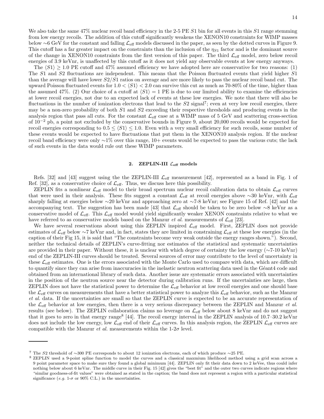We also take the same  $47\%$  nuclear recoil band efficiency in the 2-5 PE S1 bin for all events in this S1 range stemming from low energy recoils. The addition of this cutoff significantly weakens the XENON10 constraints for WIMP masses below ∼6 GeV for the constant and falling Leff models discussed in the paper, as seen by the dotted curves in Figure 9. This cutoff has a far greater impact on the constraints than the inclusion of the  $\eta_{S1}$  factor and is the dominant source of the change in XENON10 constraints from the first version of this paper. The third  $\mathcal{L}_{\text{eff}}$  model, zero below recoil energies of 3.9 keVnr, is unaffected by this cutoff as it does not yield any observable events at low energy anyways.

The  $\langle S1 \rangle \geq 1.0$  PE cutoff and 47% assumed efficiency we have adopted here are conservative for two reasons: (1) The S1 and S2 fluctuations are independent. This means that the Poisson fluctuated events that yield higher S1 than the average will have lower  $S2/S1$  ratios on average and are more likely to pass the nuclear recoil band cut. The upward Poisson fluctuated events for  $1.0 < \langle S1 \rangle < 2.0$  can survive this cut as much as 70-80% of the time, higher than the assumed 47%. (2) Our choice of a cutoff at  $\langle S1 \rangle = 1$  PE is due to our limited ability to examine the efficiencies at lower recoil energies, not due to an expected lack of events at these low energies. We note that there will also be fluctuations in the number of ionization electrons that lead to the  $S2$  signal<sup>7</sup>; even at very low recoil energies, there may be a non-zero probability of both  $S1$  and  $S2$  exceeding their respective thresholds and producing events in the analysis region that pass all cuts. For the constant  $\mathcal{L}_{\text{eff}}$  case at a WIMP mass of 5 GeV and scattering cross-section of 10−<sup>2</sup> pb, a point not excluded by the conservative bounds in Figure 9, about 20,000 recoils would be expected for recoil energies corresponding to  $0.5 \leq \langle S1 \rangle \leq 1.0$ . Even with a very small efficiency for such recoils, some number of these events would be expected to have fluctuations that put them in the XENON10 analysis region. If the nuclear recoil band efficiency were only ∼1% over this range, 10+ events would be expected to pass the various cuts; the lack of such events in the data would rule out these WIMP parameters.

### 2. ZEPLIN-III  $\mathcal{L}_{\text{eff}}$  models

Refs. [32] and [43] suggest using the the ZEPLIN-III  $\mathcal{L}_{\text{eff}}$  measurement [42], represented as a band in Fig. 1 of Ref. [32], as a conservative choice of  $\mathcal{L}_{\text{eff}}$ . Thus, we discuss here this possibility.

ZEPLIN fits a nonlinear  $\mathcal{L}_{\text{eff}}$  model to their broad spectrum nuclear recoil calibration data to obtain  $\mathcal{L}_{\text{eff}}$  curves that were used in their analysis. These fits suggest a constant  $\mathcal{L}_{\text{eff}}$  at recoil energies above ~30 keVnr, with  $\mathcal{L}_{\text{eff}}$ sharply falling at energies below ∼20 keVnr and approaching zero at ∼7-8 keVnr; see Figure 15 of Ref. [42] and the accompanying text. The suggestion has been made [43] that Leff should be taken to be zero below ∼8 keVnr as a conservative model of  $\mathcal{L}_{\text{eff}}$ . This  $\mathcal{L}_{\text{eff}}$  model would yield significantly weaker XENON constraints relative to what we have referred to as conservative models based on the Manzur et al. measurements of  $\mathcal{L}_{\text{eff}}$  [23].

We have several reservations about using this ZEPLIN inspired  $\mathcal{L}_{\text{eff}}$  model. First, ZEPLIN does not provide estimates of  $\mathcal{L}_{\text{eff}}$  below ∼7 keVnr and, in fact, states they are limited in constraining  $\mathcal{L}_{\text{eff}}$  at these low energies (in the caption of their Fig 15, it is said that "The constraints become very weak outside the energy ranges shown."). Second, neither the technical details of ZEPLIN's curve-fitting nor estimates of the statistical and systematic uncertainties are provided in their paper. Without these, it is unclear with which degree of certainty the low energy (∼7-10 keVnr) end of the ZEPLIN-III curves should be treated. Several sources of error may contribute to the level of uncertainty in these  $\mathcal{L}_{\text{eff}}$  estimates. One is the errors associated with the Monte Carlo used to compare with data, which are difficult to quantify since they can arise from inaccuracies in the inelastic neutron scattering data used in the Géant4 code and obtained from an international library of such data. Another issue are systematic errors associated with uncertainties in the position of the neutron source near the detector during calibration runs. If the uncertainties are large, then ZEPLIN does not have the statistical power to determine the  $\mathcal{L}_{\text{eff}}$  behavior at low recoil energies and one should base the  $\mathcal{L}_{\text{eff}}$  curves on measurements that have a better statistical power to analyze this  $\mathcal{L}_{\text{eff}}$  behavior, such as the Manzur et al. data. If the uncertainties are small so that the ZEPLIN curve is expected to be an accurate representation of the  $\mathcal{L}_{\text{eff}}$  behavior at low energies, then there is a very serious discrepancy between the ZEPLIN and Manzur *et al.* results (see below). The ZEPLIN collaboration claims no leverage on  $\mathcal{L}_{\text{eff}}$  below about 8 keVnr and do not suggest that it goes to zero in that energy range<sup>8</sup> [44]. The recoil energy interval in the ZEPLIN analysis of 10.7–30.2 keVnr does not include the low energy, low  $\mathcal{L}_{\text{eff}}$  end of their  $\mathcal{L}_{\text{eff}}$  curves. In this analysis region, the ZEPLIN  $\mathcal{L}_{\text{eff}}$  curves are compatible with the Manzur *et al.* measurements within the  $1-2\sigma$  level.

<sup>7</sup> The S2 threshold of ∼300 PE corresponds to about 12 ionization electrons, each of which produce ∼25 PE.

<sup>8</sup> ZEPLIN used a 9-point spline function to model the curves and a classical maxmium likelihood method using a grid scan across a 9 point parameter space to make sure they found a global minimum [44]. ZEPLIN only fit their data down to 2 keVee, thus could infer nothing below about 6 keVnr. The middle curve in their Fig. 15 [42] gives the "best fit" and the outer two curves indicate regions where "similar goodness-of-fit values" were obtained as stated in the caption; the band does not represent a region with a particular statistical significance (e.g. 1- $\sigma$  or 90% C.L.) in the uncertainties.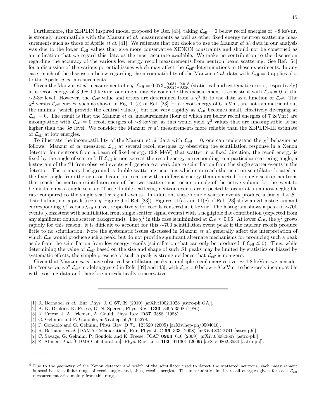Furthermore, the ZEPLIN inspired model proposed by Ref. [43], taking  $\mathcal{L}_{eff} = 0$  below recoil energies of ∼8 keVnr, is strongly incompatible with the Manzur *et al.* measurements as well as other fixed energy neutron scattering measurements such as those of Aprile *et al.* [41]. We reiterate that our choice to use the Manzur *et al.* data in our analysis was due to the lower  $\mathcal{L}_{\text{eff}}$  values that give more conservative XENON constraints and should not be construed as an indication that we regard this data as the most accurate available. We make no contribution to the discussion regarding the accuracy of the various low energy recoil measurements from neutron beam scattering. See Ref. [54] for a discussion of the various potential issues which may affect the  $\mathcal{L}_{\text{eff}}$  determinations in these experiments. In any case, much of the discussion below regarding the incompatibility of the Manzur *et al.* data with  $\mathcal{L}_{\text{eff}} = 0$  applies also to the Aprile et al. measurements.

Given the Manzur *et al.* measurement of *e.g.*  $\mathcal{L}_{\text{eff}} = 0.073_{-0.025-0.026}^{+0.034+0.018}$  (statistical and systematic errors, respectively) at a recoil energy of  $3.9 \pm 0.9$  keVnr, one might naively conclude this measurement is consistent with  $\mathcal{L}_{\text{eff}} = 0$  at the  $\sim$ 2-3σ level. However, the  $\mathcal{L}_{\text{eff}}$  value and errors are determined from a  $\chi^2$  fit to the data as a function of  $\mathcal{L}_{\text{eff}}$ . The  $\chi^2$  versus  $\mathcal{L}_{\text{eff}}$  curves, such as shown in Fig. 11(c) of Ref. [23] for a recoil energy of 6 keVnr, are not symmetric about the minima (which provide the central values), but rise very rapidly as  $\mathcal{L}_{\text{eff}}$  becomes small, effectively diverging at  $\mathcal{L}_{\text{eff}} = 0$ . The result is that the Manzur *et al.* measurements (four of which are below recoil energies of 7 keVnr) are incompatible with  $\mathcal{L}_{\text{eff}} = 0$  recoil energies of ∼8 keVnr, as this would yield  $\chi^2$  values that are imcompatible at far higher than the  $3\sigma$  level. We consider the Manzur *et al.* measurements more reliable than the ZEPLIN-III estimate of  $\mathcal{L}_{\text{eff}}$  at low energies.

To illustrate the incompatibility of the Manzur *et al.* data with  $\mathcal{L}_{\text{eff}} = 0$ , one can understand the  $\chi^2$  behavior as follows. Manzur *et al.* measured  $\mathcal{L}_{\text{eff}}$  at several recoil energies by observing the scintillation response in a Xenon detector for neutrons from a beam of fixed energy (2.8 MeV) that scatter in a fixed direction; the recoil energy is fixed by the angle of scatter<sup>9</sup>. If  $\mathcal{L}_{\text{eff}}$  is non-zero at the recoil energy corresponding to a particular scattering angle, a histogram of the S1 from observed events will generate a peak due to scintillation from the single scatter events in the detector. The primary background is double scattering neutrons which can reach the neutron scintillator located at the fixed angle from the neutron beam, but scatter with a different energy than expected for single scatter neutrons that reach the neutron scintillator; one of the two scatters must occur outside of the active volume for the event to be mistaken as a single scatter. These double scattering neutron events are expected to occur at an almost negligible rate compared to the single scatter signal events. In addition, these double scatter events produce a fairly flat S1 distribution, not a peak (see e.g. Figure 9 of Ref. [23]). Figures 11(a) and 11(c) of Ref. [23] show an S1 histogram and corresponding  $\chi^2$  versus  $\mathcal{L}_{\text{eff}}$  curve, respectively, for recoils centered at 6 keVnr. The histogram shows a peak of ∼700 events (consistent with scintillation from single scatter signal events) with a negligible flat contribution (expected from any significant double scatter background). The  $\chi^2$  in this case is minimized at  $\mathcal{L}_{\text{eff}} \approx 0.06$ . At lower  $\mathcal{L}_{\text{eff}}$ , the  $\chi^2$  grows rapidly for this reason: it is difficult to account for this ∼700 scintillation event peak if the nuclear recoils produce little to no scintillation. Note the systematic issues discussed in Manzur *et al.* generally affect the interpretation of which  $\mathcal{L}_{\text{eff}}$  would produce such a peak, but do not provide significant alternate mechanisms for producing such a peak aside from the scintillation from low energy recoils (scintillation that can only be produced if  $\mathcal{L}_{\text{eff}} \not\approx 0$ ). Thus, while determining the value of  $\mathcal{L}_{\text{eff}}$  based on the size and shape of such S1 peaks may be limited by statistics or biased by systematic effects, the simple presence of such a peak is strong evidence that  $\mathcal{L}_{\text{eff}}$  is non-zero.

Given that Manzur et al. have observed scintillation peaks at multiple recoil energies over ∼ 4-8 keVnr, we consider the "conservative"  $\mathcal{L}_{\text{eff}}$  model suggested in Refs. [32] and [43], with  $\mathcal{L}_{\text{eff}} = 0$  below ∼8 keVnr, to be grossly incompatible with existing data and therefore unrealistically conservative.

- [1] R. Bernabei et al., Eur. Phys. J. C  $67$ , 39 (2010) [arXiv:1002.1028 [astro-ph.GA]].
- [2] A. K. Drukier, K. Freese, D. N. Spergel, Phys. Rev. **D33**, 3495-3508 (1986).
- [3] K. Freese, J. A. Frieman, A. Gould, Phys. Rev. D37, 3388 (1988).
- [4] G. Gelmini and P. Gondolo, arXiv:hep-ph/0405278.
- [5] P. Gondolo and G. Gelmini, Phys. Rev. D 71, 123520 (2005) [arXiv:hep-ph/0504010].
- [6] R. Bernabei et al. [DAMA Collaboration], Eur. Phys. J. C 56, 333 (2008) [arXiv:0804.2741 [astro-ph]].
- [7] C. Savage, G. Gelmini, P. Gondolo and K. Freese, JCAP 0904, 010 (2009) [arXiv:0808.3607 [astro-ph]].
- [8] Z. Ahmed *et al.* [CDMS Collaboration], Phys. Rev. Lett. **102**, 011301 (2009) [arXiv:0802.3530 [astro-ph]].

<sup>&</sup>lt;sup>9</sup> Due to the geometry of the Xenon detector and width of the scintillator used to detect the scattered neutrons, each measurement is sensitive to a finite range of recoil angles and, thus, recoil energies. The uncertainties in the recoil energies given for each  $\mathcal{L}_{\text{eff}}$ measurement arise mainly from this range.